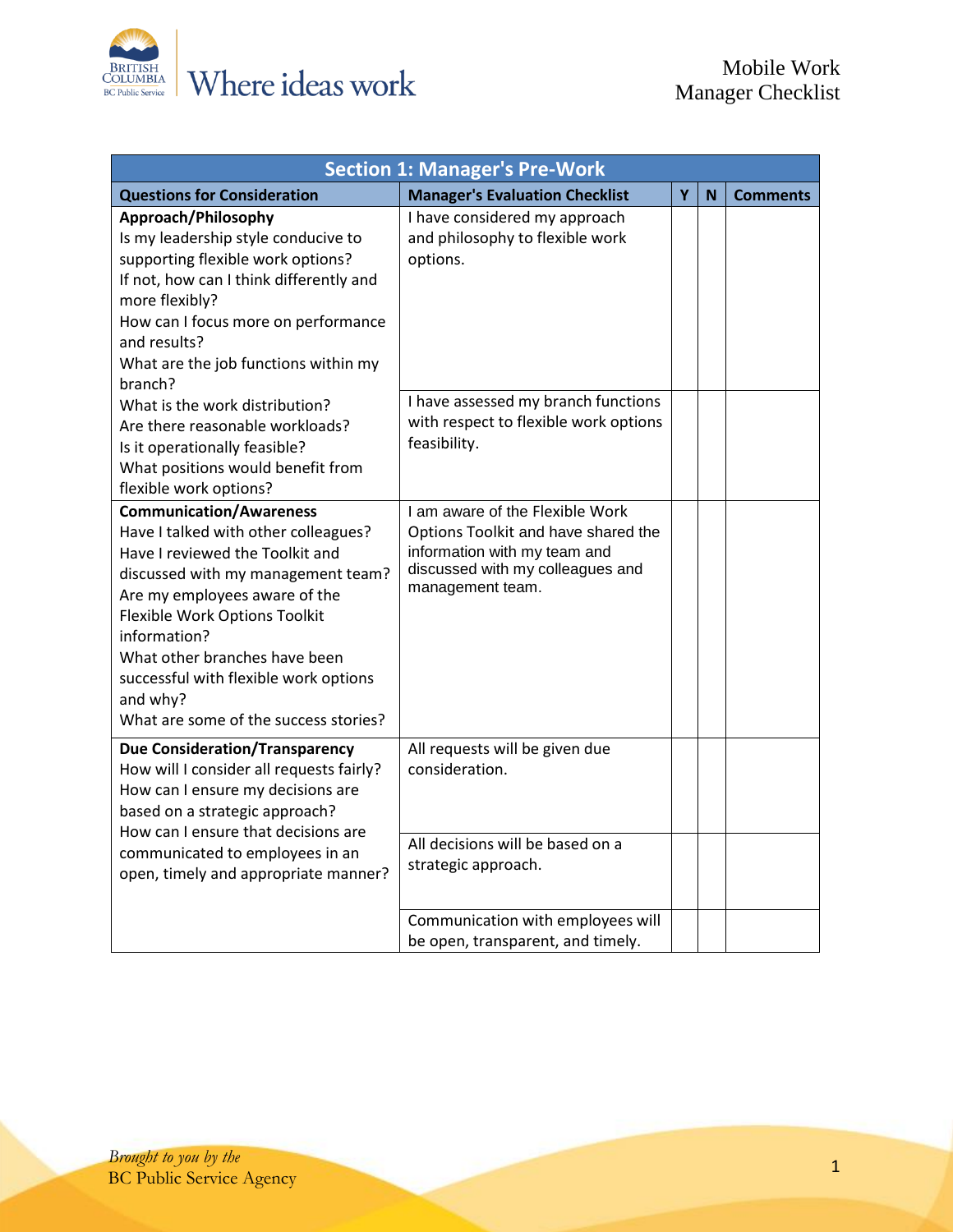

| <b>Section 1: Manager's Pre-Work</b>                                                                                                                                                                                                                                                                                                                             |                                                                                                                                                                |   |   |                 |
|------------------------------------------------------------------------------------------------------------------------------------------------------------------------------------------------------------------------------------------------------------------------------------------------------------------------------------------------------------------|----------------------------------------------------------------------------------------------------------------------------------------------------------------|---|---|-----------------|
| <b>Questions for Consideration</b>                                                                                                                                                                                                                                                                                                                               | <b>Manager's Evaluation Checklist</b>                                                                                                                          | Ÿ | N | <b>Comments</b> |
| Approach/Philosophy<br>Is my leadership style conducive to<br>supporting flexible work options?<br>If not, how can I think differently and<br>more flexibly?<br>How can I focus more on performance<br>and results?<br>What are the job functions within my<br>branch?                                                                                           | I have considered my approach<br>and philosophy to flexible work<br>options.                                                                                   |   |   |                 |
| What is the work distribution?<br>Are there reasonable workloads?<br>Is it operationally feasible?<br>What positions would benefit from<br>flexible work options?                                                                                                                                                                                                | I have assessed my branch functions<br>with respect to flexible work options<br>feasibility.                                                                   |   |   |                 |
| <b>Communication/Awareness</b><br>Have I talked with other colleagues?<br>Have I reviewed the Toolkit and<br>discussed with my management team?<br>Are my employees aware of the<br>Flexible Work Options Toolkit<br>information?<br>What other branches have been<br>successful with flexible work options<br>and why?<br>What are some of the success stories? | I am aware of the Flexible Work<br>Options Toolkit and have shared the<br>information with my team and<br>discussed with my colleagues and<br>management team. |   |   |                 |
| <b>Due Consideration/Transparency</b><br>How will I consider all requests fairly?<br>How can I ensure my decisions are<br>based on a strategic approach?<br>How can I ensure that decisions are<br>communicated to employees in an<br>open, timely and appropriate manner?                                                                                       | All requests will be given due<br>consideration.<br>All decisions will be based on a<br>strategic approach.                                                    |   |   |                 |
|                                                                                                                                                                                                                                                                                                                                                                  | Communication with employees will<br>be open, transparent, and timely.                                                                                         |   |   |                 |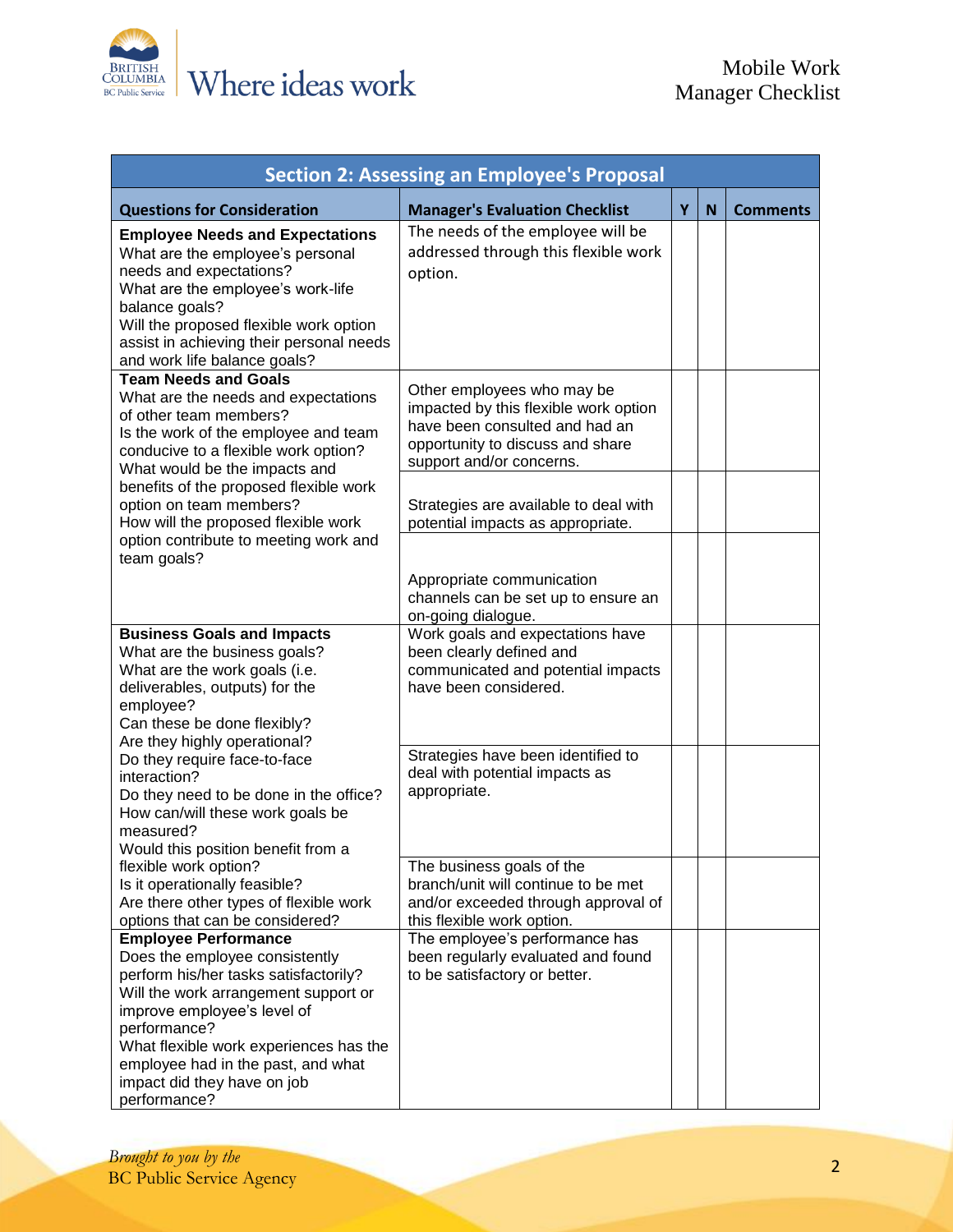

| <b>Section 2: Assessing an Employee's Proposal</b>                                                                                                                                                                                                                                                                           |                                                                                                                                                                       |   |   |                 |
|------------------------------------------------------------------------------------------------------------------------------------------------------------------------------------------------------------------------------------------------------------------------------------------------------------------------------|-----------------------------------------------------------------------------------------------------------------------------------------------------------------------|---|---|-----------------|
| <b>Questions for Consideration</b>                                                                                                                                                                                                                                                                                           | <b>Manager's Evaluation Checklist</b>                                                                                                                                 | Y | N | <b>Comments</b> |
| <b>Employee Needs and Expectations</b><br>What are the employee's personal<br>needs and expectations?<br>What are the employee's work-life<br>balance goals?<br>Will the proposed flexible work option<br>assist in achieving their personal needs<br>and work life balance goals?                                           | The needs of the employee will be<br>addressed through this flexible work<br>option.                                                                                  |   |   |                 |
| <b>Team Needs and Goals</b><br>What are the needs and expectations<br>of other team members?<br>Is the work of the employee and team<br>conducive to a flexible work option?<br>What would be the impacts and                                                                                                                | Other employees who may be<br>impacted by this flexible work option<br>have been consulted and had an<br>opportunity to discuss and share<br>support and/or concerns. |   |   |                 |
| benefits of the proposed flexible work<br>option on team members?<br>How will the proposed flexible work<br>option contribute to meeting work and<br>team goals?                                                                                                                                                             | Strategies are available to deal with<br>potential impacts as appropriate.                                                                                            |   |   |                 |
|                                                                                                                                                                                                                                                                                                                              | Appropriate communication<br>channels can be set up to ensure an<br>on-going dialogue.                                                                                |   |   |                 |
| <b>Business Goals and Impacts</b><br>What are the business goals?<br>What are the work goals (i.e.<br>deliverables, outputs) for the<br>employee?<br>Can these be done flexibly?<br>Are they highly operational?                                                                                                             | Work goals and expectations have<br>been clearly defined and<br>communicated and potential impacts<br>have been considered.                                           |   |   |                 |
| Do they require face-to-face<br>interaction?<br>Do they need to be done in the office?<br>How can/will these work goals be<br>measured?<br>Would this position benefit from a                                                                                                                                                | Strategies have been identified to<br>deal with potential impacts as<br>appropriate.                                                                                  |   |   |                 |
| flexible work option?<br>Is it operationally feasible?<br>Are there other types of flexible work<br>options that can be considered?                                                                                                                                                                                          | The business goals of the<br>branch/unit will continue to be met<br>and/or exceeded through approval of<br>this flexible work option.                                 |   |   |                 |
| <b>Employee Performance</b><br>Does the employee consistently<br>perform his/her tasks satisfactorily?<br>Will the work arrangement support or<br>improve employee's level of<br>performance?<br>What flexible work experiences has the<br>employee had in the past, and what<br>impact did they have on job<br>performance? | The employee's performance has<br>been regularly evaluated and found<br>to be satisfactory or better.                                                                 |   |   |                 |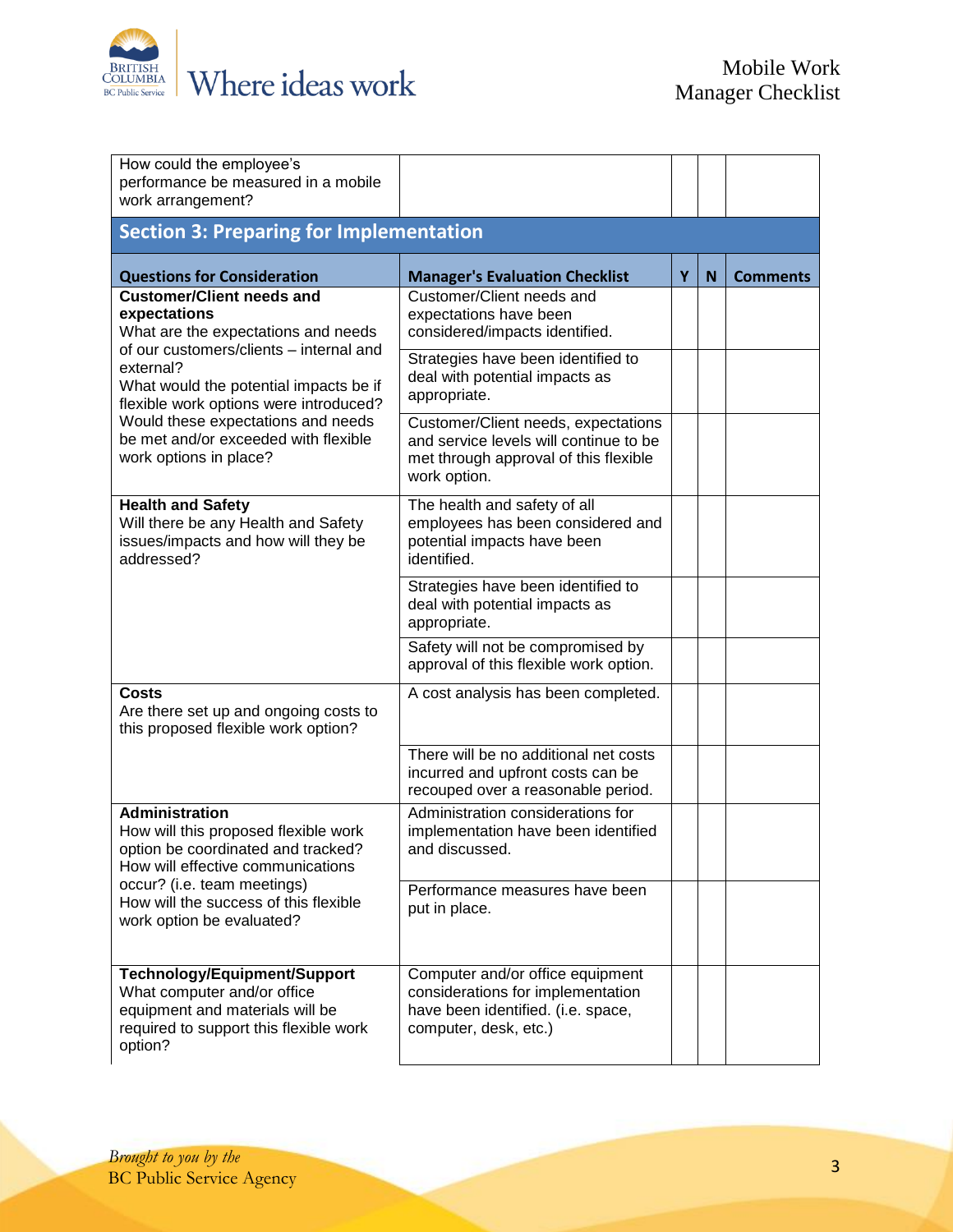

| How could the employee's<br>performance be measured in a mobile<br>work arrangement?                                                                                                                                                                                                                                                        |                                                                                                                                        |   |   |                 |
|---------------------------------------------------------------------------------------------------------------------------------------------------------------------------------------------------------------------------------------------------------------------------------------------------------------------------------------------|----------------------------------------------------------------------------------------------------------------------------------------|---|---|-----------------|
| <b>Section 3: Preparing for Implementation</b>                                                                                                                                                                                                                                                                                              |                                                                                                                                        |   |   |                 |
| <b>Questions for Consideration</b>                                                                                                                                                                                                                                                                                                          | <b>Manager's Evaluation Checklist</b>                                                                                                  | Y | N | <b>Comments</b> |
| <b>Customer/Client needs and</b><br>expectations<br>What are the expectations and needs<br>of our customers/clients - internal and<br>external?<br>What would the potential impacts be if<br>flexible work options were introduced?<br>Would these expectations and needs<br>be met and/or exceeded with flexible<br>work options in place? | Customer/Client needs and<br>expectations have been<br>considered/impacts identified.                                                  |   |   |                 |
|                                                                                                                                                                                                                                                                                                                                             | Strategies have been identified to<br>deal with potential impacts as<br>appropriate.                                                   |   |   |                 |
|                                                                                                                                                                                                                                                                                                                                             | Customer/Client needs, expectations<br>and service levels will continue to be<br>met through approval of this flexible<br>work option. |   |   |                 |
| <b>Health and Safety</b><br>Will there be any Health and Safety<br>issues/impacts and how will they be<br>addressed?                                                                                                                                                                                                                        | The health and safety of all<br>employees has been considered and<br>potential impacts have been<br>identified.                        |   |   |                 |
|                                                                                                                                                                                                                                                                                                                                             | Strategies have been identified to<br>deal with potential impacts as<br>appropriate.                                                   |   |   |                 |
|                                                                                                                                                                                                                                                                                                                                             | Safety will not be compromised by<br>approval of this flexible work option.                                                            |   |   |                 |
| Costs<br>Are there set up and ongoing costs to<br>this proposed flexible work option?                                                                                                                                                                                                                                                       | A cost analysis has been completed.                                                                                                    |   |   |                 |
|                                                                                                                                                                                                                                                                                                                                             | There will be no additional net costs<br>incurred and upfront costs can be<br>recouped over a reasonable period.                       |   |   |                 |
| <b>Administration</b><br>How will this proposed flexible work<br>option be coordinated and tracked?<br>How will effective communications<br>occur? (i.e. team meetings)<br>How will the success of this flexible<br>work option be evaluated?                                                                                               | Administration considerations for<br>implementation have been identified<br>and discussed.                                             |   |   |                 |
|                                                                                                                                                                                                                                                                                                                                             | Performance measures have been<br>put in place.                                                                                        |   |   |                 |
| Technology/Equipment/Support<br>What computer and/or office<br>equipment and materials will be<br>required to support this flexible work<br>option?                                                                                                                                                                                         | Computer and/or office equipment<br>considerations for implementation<br>have been identified. (i.e. space,<br>computer, desk, etc.)   |   |   |                 |